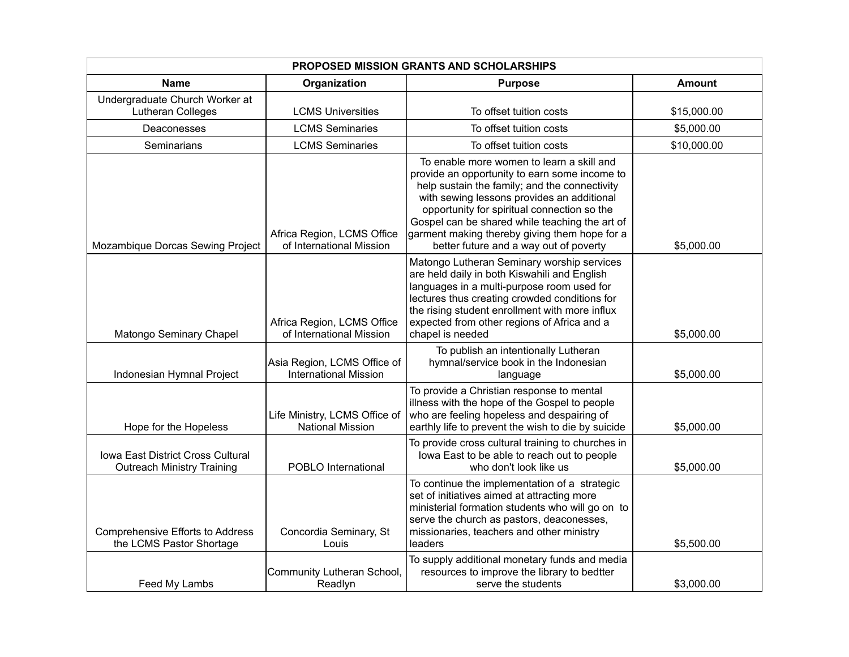| <b>PROPOSED MISSION GRANTS AND SCHOLARSHIPS</b>                        |                                                             |                                                                                                                                                                                                                                                                                                                                                                                       |               |  |
|------------------------------------------------------------------------|-------------------------------------------------------------|---------------------------------------------------------------------------------------------------------------------------------------------------------------------------------------------------------------------------------------------------------------------------------------------------------------------------------------------------------------------------------------|---------------|--|
| <b>Name</b>                                                            | Organization                                                | <b>Purpose</b>                                                                                                                                                                                                                                                                                                                                                                        | <b>Amount</b> |  |
| Undergraduate Church Worker at<br>Lutheran Colleges                    | <b>LCMS Universities</b>                                    | To offset tuition costs                                                                                                                                                                                                                                                                                                                                                               | \$15,000.00   |  |
| Deaconesses                                                            | <b>LCMS Seminaries</b>                                      | To offset tuition costs                                                                                                                                                                                                                                                                                                                                                               | \$5,000.00    |  |
| Seminarians                                                            | <b>LCMS Seminaries</b>                                      | To offset tuition costs                                                                                                                                                                                                                                                                                                                                                               | \$10,000.00   |  |
| Mozambique Dorcas Sewing Project                                       | Africa Region, LCMS Office<br>of International Mission      | To enable more women to learn a skill and<br>provide an opportunity to earn some income to<br>help sustain the family; and the connectivity<br>with sewing lessons provides an additional<br>opportunity for spiritual connection so the<br>Gospel can be shared while teaching the art of<br>garment making thereby giving them hope for a<br>better future and a way out of poverty | \$5,000.00    |  |
| Matongo Seminary Chapel                                                | Africa Region, LCMS Office<br>of International Mission      | Matongo Lutheran Seminary worship services<br>are held daily in both Kiswahili and English<br>languages in a multi-purpose room used for<br>lectures thus creating crowded conditions for<br>the rising student enrollment with more influx<br>expected from other regions of Africa and a<br>chapel is needed                                                                        | \$5,000.00    |  |
| Indonesian Hymnal Project                                              | Asia Region, LCMS Office of<br><b>International Mission</b> | To publish an intentionally Lutheran<br>hymnal/service book in the Indonesian<br>language                                                                                                                                                                                                                                                                                             | \$5,000.00    |  |
| Hope for the Hopeless                                                  | Life Ministry, LCMS Office of<br><b>National Mission</b>    | To provide a Christian response to mental<br>illness with the hope of the Gospel to people<br>who are feeling hopeless and despairing of<br>earthly life to prevent the wish to die by suicide                                                                                                                                                                                        | \$5,000.00    |  |
| Iowa East District Cross Cultural<br><b>Outreach Ministry Training</b> | POBLO International                                         | To provide cross cultural training to churches in<br>lowa East to be able to reach out to people<br>who don't look like us                                                                                                                                                                                                                                                            | \$5,000.00    |  |
| <b>Comprehensive Efforts to Address</b><br>the LCMS Pastor Shortage    | Concordia Seminary, St<br>Louis                             | To continue the implementation of a strategic<br>set of initiatives aimed at attracting more<br>ministerial formation students who will go on to<br>serve the church as pastors, deaconesses,<br>missionaries, teachers and other ministry<br>leaders                                                                                                                                 | \$5,500.00    |  |
| Feed My Lambs                                                          | Community Lutheran School,<br>Readlyn                       | To supply additional monetary funds and media<br>resources to improve the library to bedtter<br>serve the students                                                                                                                                                                                                                                                                    | \$3,000.00    |  |